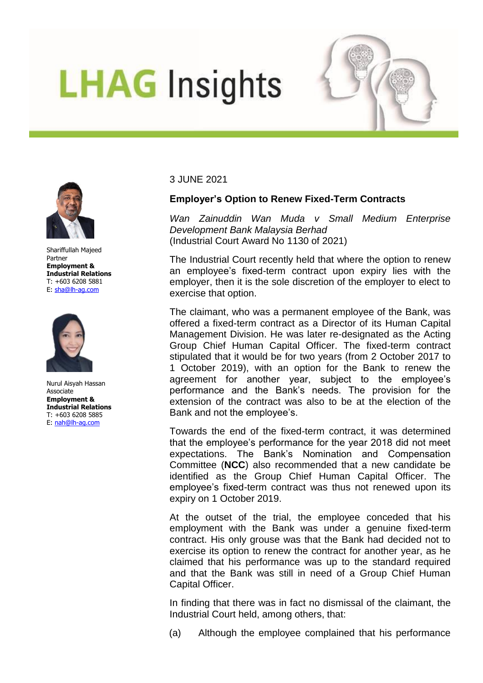## **LHAG Insights**





Shariffullah Majeed Partner **Employment & Industrial Relations**  T: +603 6208 5881 E: [sha@lh-ag.com](mailto:sha@lh-ag.com)



Nurul Aisyah Hassan **Associate Employment & Industrial Relations**  T: +603 6208 5885 E: [nah@lh-ag.com](mailto:nah@lh-ag.com)

3 JUNE 2021

## **Employer's Option to Renew Fixed-Term Contracts**

*Wan Zainuddin Wan Muda v Small Medium Enterprise Development Bank Malaysia Berhad* (Industrial Court Award No 1130 of 2021)

The Industrial Court recently held that where the option to renew an employee's fixed-term contract upon expiry lies with the employer, then it is the sole discretion of the employer to elect to exercise that option.

The claimant, who was a permanent employee of the Bank, was offered a fixed-term contract as a Director of its Human Capital Management Division. He was later re-designated as the Acting Group Chief Human Capital Officer. The fixed-term contract stipulated that it would be for two years (from 2 October 2017 to 1 October 2019), with an option for the Bank to renew the agreement for another year, subject to the employee's performance and the Bank's needs. The provision for the extension of the contract was also to be at the election of the Bank and not the employee's.

Towards the end of the fixed-term contract, it was determined that the employee's performance for the year 2018 did not meet expectations. The Bank's Nomination and Compensation Committee (**NCC**) also recommended that a new candidate be identified as the Group Chief Human Capital Officer. The employee's fixed-term contract was thus not renewed upon its expiry on 1 October 2019.

At the outset of the trial, the employee conceded that his employment with the Bank was under a genuine fixed-term contract. His only grouse was that the Bank had decided not to exercise its option to renew the contract for another year, as he claimed that his performance was up to the standard required and that the Bank was still in need of a Group Chief Human Capital Officer.

In finding that there was in fact no dismissal of the claimant, the Industrial Court held, among others, that:

(a) Although the employee complained that his performance